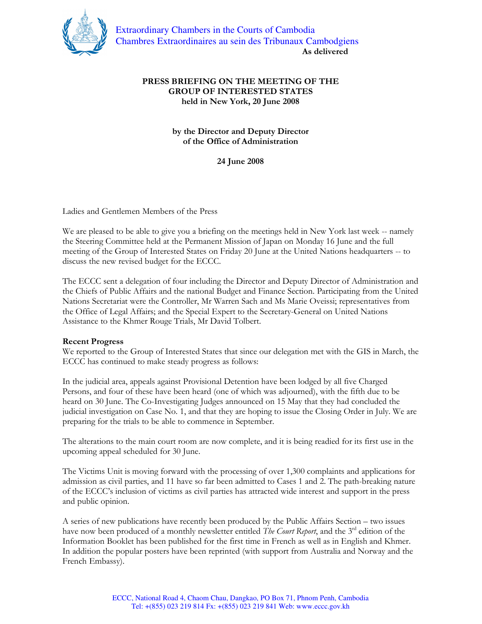

## PRESS BRIEFING ON THE MEETING OF THE GROUP OF INTERESTED STATES held in New York, 20 June 2008

## by the Director and Deputy Director of the Office of Administration

24 June 2008

Ladies and Gentlemen Members of the Press

We are pleased to be able to give you a briefing on the meetings held in New York last week -- namely the Steering Committee held at the Permanent Mission of Japan on Monday 16 June and the full meeting of the Group of Interested States on Friday 20 June at the United Nations headquarters -- to discuss the new revised budget for the ECCC.

The ECCC sent a delegation of four including the Director and Deputy Director of Administration and the Chiefs of Public Affairs and the national Budget and Finance Section. Participating from the United Nations Secretariat were the Controller, Mr Warren Sach and Ms Marie Oveissi; representatives from the Office of Legal Affairs; and the Special Expert to the Secretary-General on United Nations Assistance to the Khmer Rouge Trials, Mr David Tolbert.

## Recent Progress

We reported to the Group of Interested States that since our delegation met with the GIS in March, the ECCC has continued to make steady progress as follows:

In the judicial area, appeals against Provisional Detention have been lodged by all five Charged Persons, and four of these have been heard (one of which was adjourned), with the fifth due to be heard on 30 June. The Co-Investigating Judges announced on 15 May that they had concluded the judicial investigation on Case No. 1, and that they are hoping to issue the Closing Order in July. We are preparing for the trials to be able to commence in September.

The alterations to the main court room are now complete, and it is being readied for its first use in the upcoming appeal scheduled for 30 June.

The Victims Unit is moving forward with the processing of over 1,300 complaints and applications for admission as civil parties, and 11 have so far been admitted to Cases 1 and 2. The path-breaking nature of the ECCC's inclusion of victims as civil parties has attracted wide interest and support in the press and public opinion.

A series of new publications have recently been produced by the Public Affairs Section – two issues have now been produced of a monthly newsletter entitled *The Court Report*, and the 3<sup>rd</sup> edition of the Information Booklet has been published for the first time in French as well as in English and Khmer. In addition the popular posters have been reprinted (with support from Australia and Norway and the French Embassy).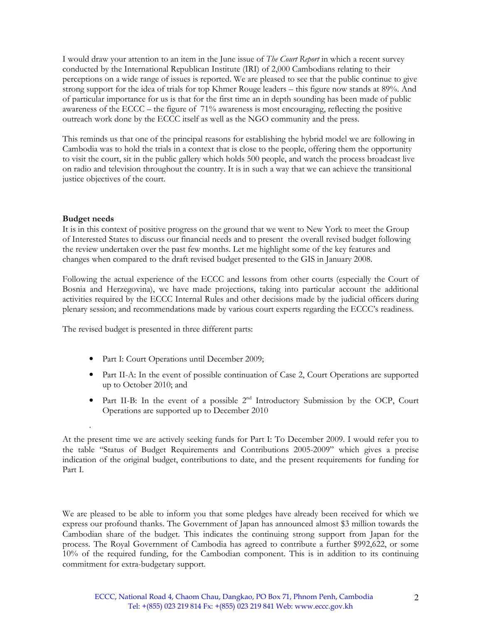I would draw your attention to an item in the June issue of *The Court Report* in which a recent survey conducted by the International Republican Institute (IRI) of 2,000 Cambodians relating to their perceptions on a wide range of issues is reported. We are pleased to see that the public continue to give strong support for the idea of trials for top Khmer Rouge leaders – this figure now stands at 89%. And of particular importance for us is that for the first time an in depth sounding has been made of public awareness of the ECCC – the figure of 71% awareness is most encouraging, reflecting the positive outreach work done by the ECCC itself as well as the NGO community and the press.

This reminds us that one of the principal reasons for establishing the hybrid model we are following in Cambodia was to hold the trials in a context that is close to the people, offering them the opportunity to visit the court, sit in the public gallery which holds 500 people, and watch the process broadcast live on radio and television throughout the country. It is in such a way that we can achieve the transitional justice objectives of the court.

## Budget needs

.

It is in this context of positive progress on the ground that we went to New York to meet the Group of Interested States to discuss our financial needs and to present the overall revised budget following the review undertaken over the past few months. Let me highlight some of the key features and changes when compared to the draft revised budget presented to the GIS in January 2008.

Following the actual experience of the ECCC and lessons from other courts (especially the Court of Bosnia and Herzegovina), we have made projections, taking into particular account the additional activities required by the ECCC Internal Rules and other decisions made by the judicial officers during plenary session; and recommendations made by various court experts regarding the ECCC's readiness.

The revised budget is presented in three different parts:

- Part I: Court Operations until December 2009;
- Part II-A: In the event of possible continuation of Case 2, Court Operations are supported up to October 2010; and
- Part II-B: In the event of a possible  $2<sup>nd</sup>$  Introductory Submission by the OCP, Court Operations are supported up to December 2010

At the present time we are actively seeking funds for Part I: To December 2009. I would refer you to the table "Status of Budget Requirements and Contributions 2005-2009" which gives a precise indication of the original budget, contributions to date, and the present requirements for funding for Part I.

We are pleased to be able to inform you that some pledges have already been received for which we express our profound thanks. The Government of Japan has announced almost \$3 million towards the Cambodian share of the budget. This indicates the continuing strong support from Japan for the process. The Royal Government of Cambodia has agreed to contribute a further \$992,622, or some 10% of the required funding, for the Cambodian component. This is in addition to its continuing commitment for extra-budgetary support.